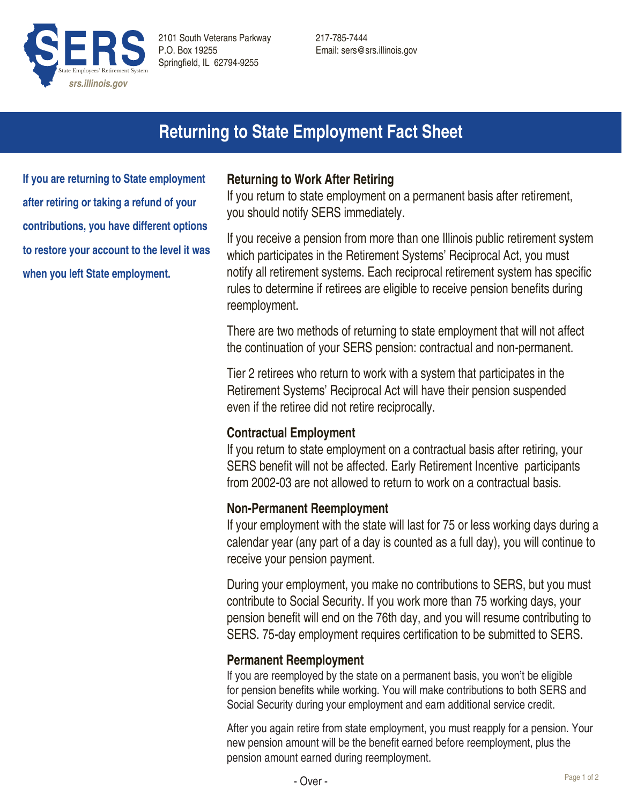

217-785-7444 Email: sers@srs.illinois.gov

# **Returning to State Employment Fact Sheet**

**If you are returning to State employment after retiring or taking a refund of your contributions, you have different options to restore your account to the level it was when you left State employment.**

## **Returning to Work After Retiring**

If you return to state employment on a permanent basis after retirement, you should notify SERS immediately.

If you receive a pension from more than one Illinois public retirement system which participates in the Retirement Systems' Reciprocal Act, you must notify all retirement systems. Each reciprocal retirement system has specific rules to determine if retirees are eligible to receive pension benefits during reemployment.

There are two methods of returning to state employment that will not affect the continuation of your SERS pension: contractual and non-permanent.

Tier 2 retirees who return to work with a system that participates in the Retirement Systems' Reciprocal Act will have their pension suspended even if the retiree did not retire reciprocally.

## **Contractual Employment**

If you return to state employment on a contractual basis after retiring, your SERS benefit will not be affected. Early Retirement Incentive participants from 2002-03 are not allowed to return to work on a contractual basis.

#### **Non-Permanent Reemployment**

If your employment with the state will last for 75 or less working days during a calendar year (any part of a day is counted as a full day), you will continue to receive your pension payment.

During your employment, you make no contributions to SERS, but you must contribute to Social Security. If you work more than 75 working days, your pension benefit will end on the 76th day, and you will resume contributing to SERS. 75-day employment requires certification to be submitted to SERS.

#### **Permanent Reemployment**

If you are reemployed by the state on a permanent basis, you won't be eligible for pension benefits while working. You will make contributions to both SERS and Social Security during your employment and earn additional service credit.

After you again retire from state employment, you must reapply for a pension. Your new pension amount will be the benefit earned before reemployment, plus the pension amount earned during reemployment.